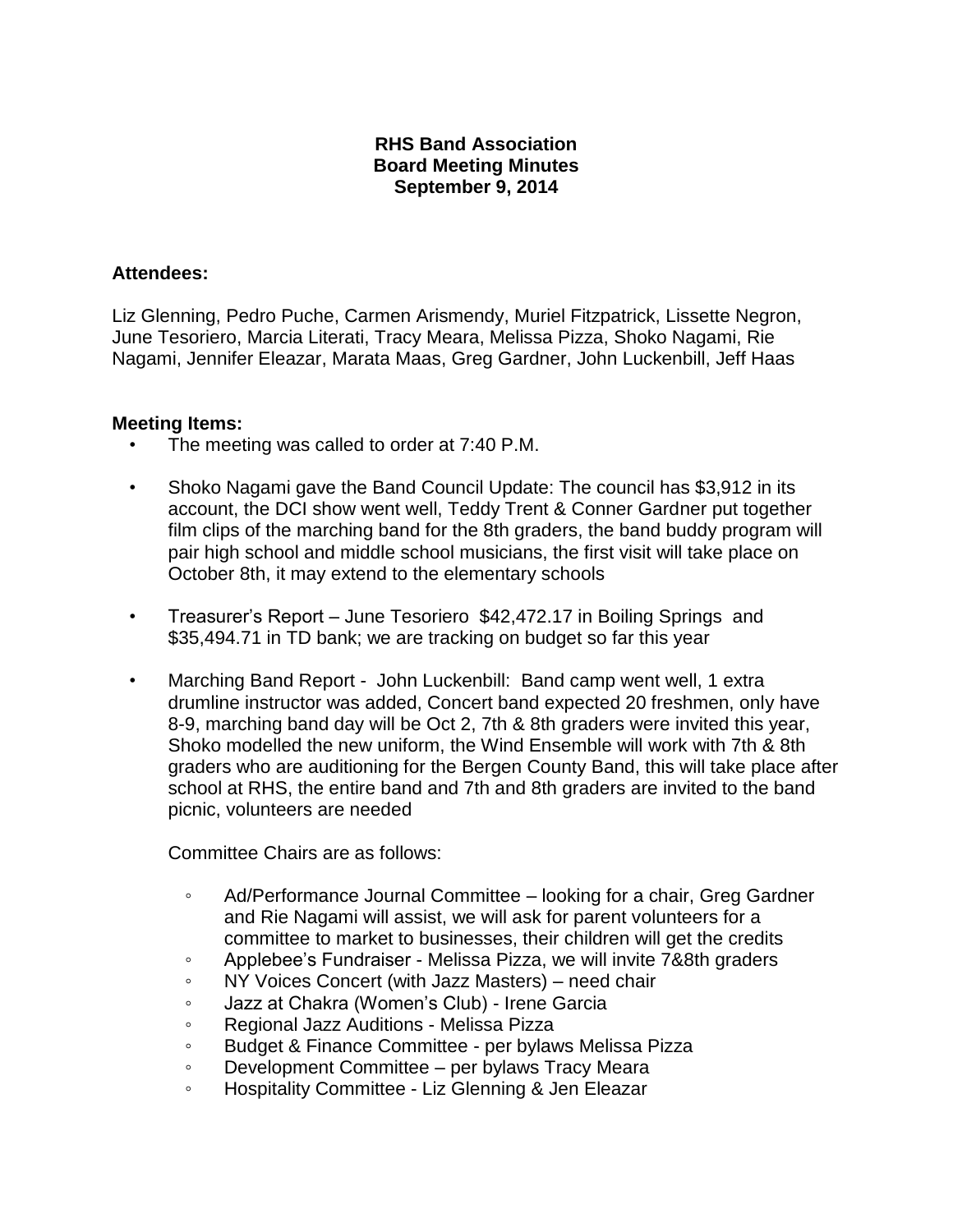## **RHS Band Association Board Meeting Minutes September 9, 2014**

## **Attendees:**

Liz Glenning, Pedro Puche, Carmen Arismendy, Muriel Fitzpatrick, Lissette Negron, June Tesoriero, Marcia Literati, Tracy Meara, Melissa Pizza, Shoko Nagami, Rie Nagami, Jennifer Eleazar, Marata Maas, Greg Gardner, John Luckenbill, Jeff Haas

## **Meeting Items:**

- The meeting was called to order at 7:40 P.M.
- Shoko Nagami gave the Band Council Update: The council has \$3,912 in its account, the DCI show went well, Teddy Trent & Conner Gardner put together film clips of the marching band for the 8th graders, the band buddy program will pair high school and middle school musicians, the first visit will take place on October 8th, it may extend to the elementary schools
- Treasurer's Report June Tesoriero \$42,472.17 in Boiling Springs and \$35,494.71 in TD bank; we are tracking on budget so far this year
- Marching Band Report John Luckenbill: Band camp went well, 1 extra drumline instructor was added, Concert band expected 20 freshmen, only have 8-9, marching band day will be Oct 2, 7th & 8th graders were invited this year, Shoko modelled the new uniform, the Wind Ensemble will work with 7th & 8th graders who are auditioning for the Bergen County Band, this will take place after school at RHS, the entire band and 7th and 8th graders are invited to the band picnic, volunteers are needed

Committee Chairs are as follows:

- Ad/Performance Journal Committee looking for a chair, Greg Gardner and Rie Nagami will assist, we will ask for parent volunteers for a committee to market to businesses, their children will get the credits
- Applebee's Fundraiser Melissa Pizza, we will invite 7&8th graders
- NY Voices Concert (with Jazz Masters) need chair
- Jazz at Chakra (Women's Club) Irene Garcia
- Regional Jazz Auditions Melissa Pizza
- Budget & Finance Committee per bylaws Melissa Pizza
- Development Committee per bylaws Tracy Meara
- Hospitality Committee Liz Glenning & Jen Eleazar